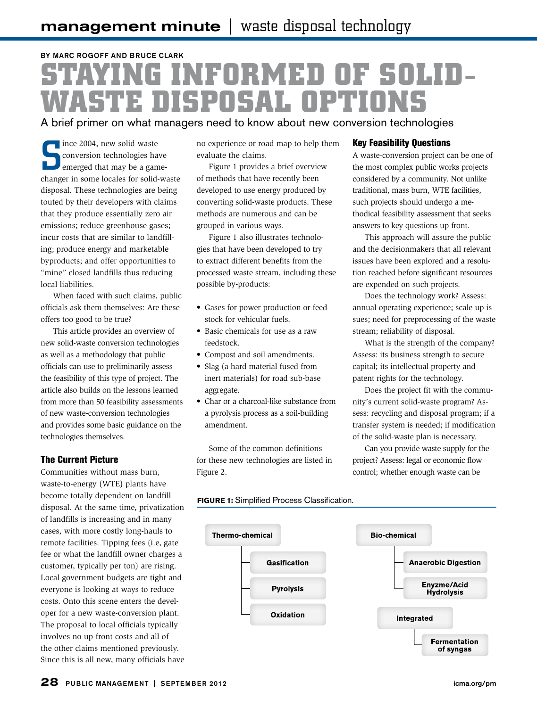## BY MARC ROGOFF AND BRUCE CLARK **STAYING INFORMED OF SOLID-WASTE DISPOSAL OPTIONS**

A brief primer on what managers need to know about new conversion technologies

S ince 2004, new solid-waste conversion technologies have emerged that may be a gamechanger in some locales for solid-waste disposal. These technologies are being touted by their developers with claims that they produce essentially zero air emissions; reduce greenhouse gases; incur costs that are similar to landfilling; produce energy and marketable byproducts; and offer opportunities to "mine" closed landfills thus reducing local liabilities.

When faced with such claims, public officials ask them themselves: Are these offers too good to be true?

This article provides an overview of new solid-waste conversion technologies as well as a methodology that public officials can use to preliminarily assess the feasibility of this type of project. The article also builds on the lessons learned from more than 50 feasibility assessments of new waste-conversion technologies and provides some basic guidance on the technologies themselves.

#### The Current Picture

Communities without mass burn, waste-to-energy (WTE) plants have become totally dependent on landfill disposal. At the same time, privatization of landfills is increasing and in many cases, with more costly long-hauls to remote facilities. Tipping fees (i.e, gate fee or what the landfill owner charges a customer, typically per ton) are rising. Local government budgets are tight and everyone is looking at ways to reduce costs. Onto this scene enters the developer for a new waste-conversion plant. The proposal to local officials typically involves no up-front costs and all of the other claims mentioned previously. Since this is all new, many officials have no experience or road map to help them evaluate the claims.

Figure 1 provides a brief overview of methods that have recently been developed to use energy produced by converting solid-waste products. These methods are numerous and can be grouped in various ways.

Figure 1 also illustrates technologies that have been developed to try to extract different benefits from the processed waste stream, including these possible by-products:

- Gases for power production or feedstock for vehicular fuels.
- Basic chemicals for use as a raw feedstock.
- Compost and soil amendments.
- Slag (a hard material fused from inert materials) for road sub-base aggregate.
- Char or a charcoal-like substance from a pyrolysis process as a soil-building amendment.

Some of the common definitions for these new technologies are listed in Figure 2.

#### Key Feasibility Questions

A waste-conversion project can be one of the most complex public works projects considered by a community. Not unlike traditional, mass burn, WTE facilities, such projects should undergo a methodical feasibility assessment that seeks answers to key questions up-front.

This approach will assure the public and the decisionmakers that all relevant issues have been explored and a resolution reached before significant resources are expended on such projects.

Does the technology work? Assess: annual operating experience; scale-up issues; need for preprocessing of the waste stream; reliability of disposal.

What is the strength of the company? Assess: its business strength to secure capital; its intellectual property and patent rights for the technology.

Does the project fit with the community's current solid-waste program? Assess: recycling and disposal program; if a transfer system is needed; if modification of the solid-waste plan is necessary.

Can you provide waste supply for the project? Assess: legal or economic flow control; whether enough waste can be